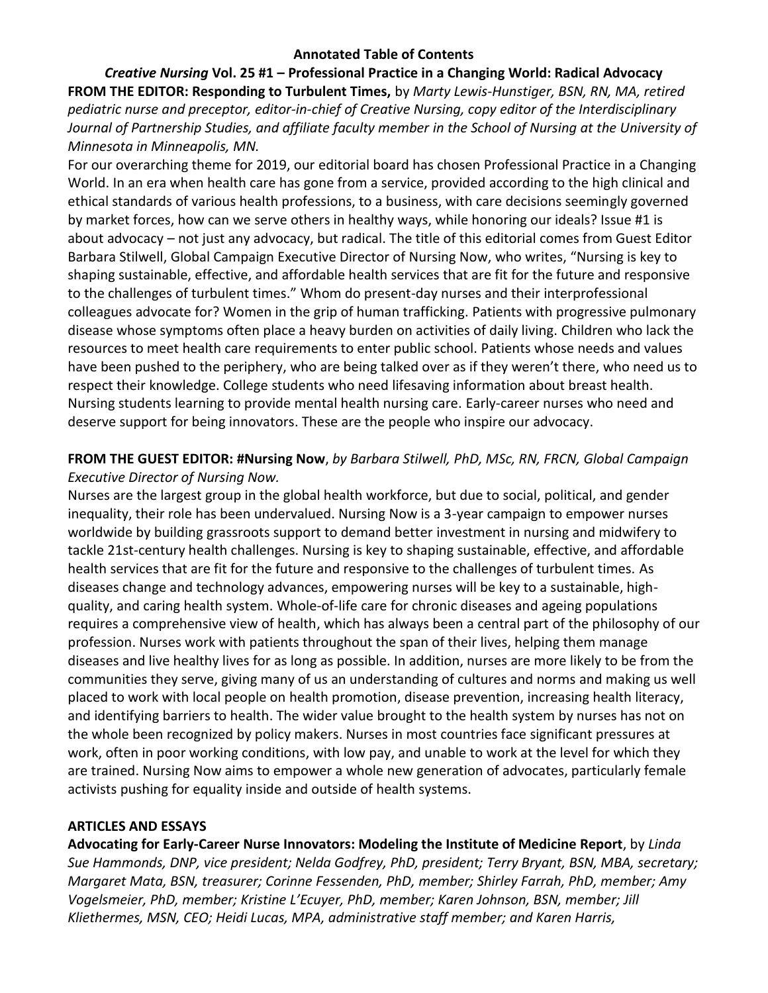### **Annotated Table of Contents**

*Creative Nursing* **Vol. 25 #1 – Professional Practice in a Changing World: Radical Advocacy FROM THE EDITOR: Responding to Turbulent Times,** by *Marty Lewis-Hunstiger, BSN, RN, MA, retired pediatric nurse and preceptor, editor-in-chief of Creative Nursing, copy editor of the Interdisciplinary Journal of Partnership Studies, and affiliate faculty member in the School of Nursing at the University of Minnesota in Minneapolis, MN.*

For our overarching theme for 2019, our editorial board has chosen Professional Practice in a Changing World. In an era when health care has gone from a service, provided according to the high clinical and ethical standards of various health professions, to a business, with care decisions seemingly governed by market forces, how can we serve others in healthy ways, while honoring our ideals? Issue #1 is about advocacy – not just any advocacy, but radical. The title of this editorial comes from Guest Editor Barbara Stilwell, Global Campaign Executive Director of Nursing Now, who writes, "Nursing is key to shaping sustainable, effective, and affordable health services that are fit for the future and responsive to the challenges of turbulent times." Whom do present-day nurses and their interprofessional colleagues advocate for? Women in the grip of human trafficking. Patients with progressive pulmonary disease whose symptoms often place a heavy burden on activities of daily living. Children who lack the resources to meet health care requirements to enter public school. Patients whose needs and values have been pushed to the periphery, who are being talked over as if they weren't there, who need us to respect their knowledge. College students who need lifesaving information about breast health. Nursing students learning to provide mental health nursing care. Early-career nurses who need and deserve support for being innovators. These are the people who inspire our advocacy.

## **FROM THE GUEST EDITOR: #Nursing Now**, *by Barbara Stilwell, PhD, MSc, RN, FRCN, Global Campaign Executive Director of Nursing Now.*

Nurses are the largest group in the global health workforce, but due to social, political, and gender inequality, their role has been undervalued. Nursing Now is a 3-year campaign to empower nurses worldwide by building grassroots support to demand better investment in nursing and midwifery to tackle 21st-century health challenges. Nursing is key to shaping sustainable, effective, and affordable health services that are fit for the future and responsive to the challenges of turbulent times. As diseases change and technology advances, empowering nurses will be key to a sustainable, highquality, and caring health system. Whole-of-life care for chronic diseases and ageing populations requires a comprehensive view of health, which has always been a central part of the philosophy of our profession. Nurses work with patients throughout the span of their lives, helping them manage diseases and live healthy lives for as long as possible. In addition, nurses are more likely to be from the communities they serve, giving many of us an understanding of cultures and norms and making us well placed to work with local people on health promotion, disease prevention, increasing health literacy, and identifying barriers to health. The wider value brought to the health system by nurses has not on the whole been recognized by policy makers. Nurses in most countries face significant pressures at work, often in poor working conditions, with low pay, and unable to work at the level for which they are trained. Nursing Now aims to empower a whole new generation of advocates, particularly female activists pushing for equality inside and outside of health systems.

### **ARTICLES AND ESSAYS**

**Advocating for Early-Career Nurse Innovators: Modeling the Institute of Medicine Report**, by *Linda Sue Hammonds, DNP, vice president; Nelda Godfrey, PhD, president; Terry Bryant, BSN, MBA, secretary; Margaret Mata, BSN, treasurer; Corinne Fessenden, PhD, member; Shirley Farrah, PhD, member; Amy Vogelsmeier, PhD, member; Kristine L'Ecuyer, PhD, member; Karen Johnson, BSN, member; Jill Kliethermes, MSN, CEO; Heidi Lucas, MPA, administrative staff member; and Karen Harris,*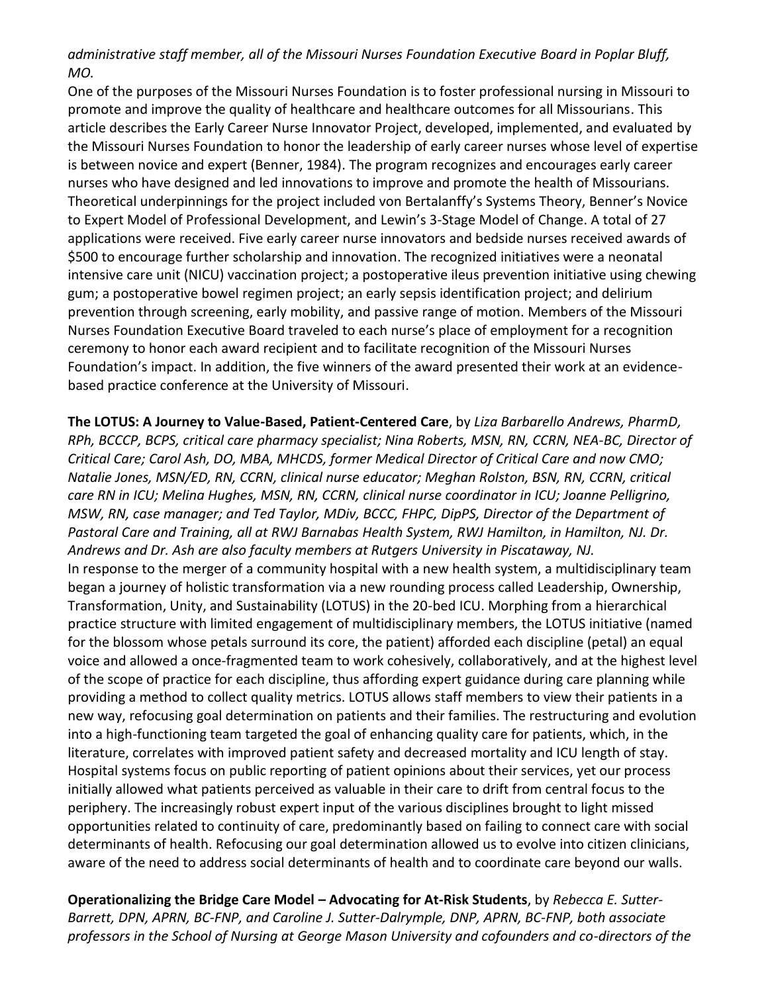# *administrative staff member, all of the Missouri Nurses Foundation Executive Board in Poplar Bluff, MO.*

One of the purposes of the Missouri Nurses Foundation is to foster professional nursing in Missouri to promote and improve the quality of healthcare and healthcare outcomes for all Missourians. This article describes the Early Career Nurse Innovator Project, developed, implemented, and evaluated by the Missouri Nurses Foundation to honor the leadership of early career nurses whose level of expertise is between novice and expert (Benner, 1984). The program recognizes and encourages early career nurses who have designed and led innovations to improve and promote the health of Missourians. Theoretical underpinnings for the project included von Bertalanffy's Systems Theory, Benner's Novice to Expert Model of Professional Development, and Lewin's 3-Stage Model of Change. A total of 27 applications were received. Five early career nurse innovators and bedside nurses received awards of \$500 to encourage further scholarship and innovation. The recognized initiatives were a neonatal intensive care unit (NICU) vaccination project; a postoperative ileus prevention initiative using chewing gum; a postoperative bowel regimen project; an early sepsis identification project; and delirium prevention through screening, early mobility, and passive range of motion. Members of the Missouri Nurses Foundation Executive Board traveled to each nurse's place of employment for a recognition ceremony to honor each award recipient and to facilitate recognition of the Missouri Nurses Foundation's impact. In addition, the five winners of the award presented their work at an evidencebased practice conference at the University of Missouri.

**The LOTUS: A Journey to Value-Based, Patient-Centered Care**, by *Liza Barbarello Andrews, PharmD, RPh, BCCCP, BCPS, critical care pharmacy specialist; Nina Roberts, MSN, RN, CCRN, NEA-BC, Director of Critical Care; Carol Ash, DO, MBA, MHCDS, former Medical Director of Critical Care and now CMO; Natalie Jones, MSN/ED, RN, CCRN, clinical nurse educator; Meghan Rolston, BSN, RN, CCRN, critical care RN in ICU; Melina Hughes, MSN, RN, CCRN, clinical nurse coordinator in ICU; Joanne Pelligrino, MSW, RN, case manager; and Ted Taylor, MDiv, BCCC, FHPC, DipPS, Director of the Department of Pastoral Care and Training, all at RWJ Barnabas Health System, RWJ Hamilton, in Hamilton, NJ. Dr. Andrews and Dr. Ash are also faculty members at Rutgers University in Piscataway, NJ.* In response to the merger of a community hospital with a new health system, a multidisciplinary team began a journey of holistic transformation via a new rounding process called Leadership, Ownership, Transformation, Unity, and Sustainability (LOTUS) in the 20-bed ICU. Morphing from a hierarchical practice structure with limited engagement of multidisciplinary members, the LOTUS initiative (named for the blossom whose petals surround its core, the patient) afforded each discipline (petal) an equal voice and allowed a once-fragmented team to work cohesively, collaboratively, and at the highest level of the scope of practice for each discipline, thus affording expert guidance during care planning while providing a method to collect quality metrics. LOTUS allows staff members to view their patients in a new way, refocusing goal determination on patients and their families. The restructuring and evolution into a high-functioning team targeted the goal of enhancing quality care for patients, which, in the literature, correlates with improved patient safety and decreased mortality and ICU length of stay. Hospital systems focus on public reporting of patient opinions about their services, yet our process initially allowed what patients perceived as valuable in their care to drift from central focus to the periphery. The increasingly robust expert input of the various disciplines brought to light missed opportunities related to continuity of care, predominantly based on failing to connect care with social determinants of health. Refocusing our goal determination allowed us to evolve into citizen clinicians, aware of the need to address social determinants of health and to coordinate care beyond our walls.

**Operationalizing the Bridge Care Model – Advocating for At-Risk Students**, by *Rebecca E. Sutter-Barrett, DPN, APRN, BC-FNP, and Caroline J. Sutter-Dalrymple, DNP, APRN, BC-FNP, both associate professors in the School of Nursing at George Mason University and cofounders and co-directors of the*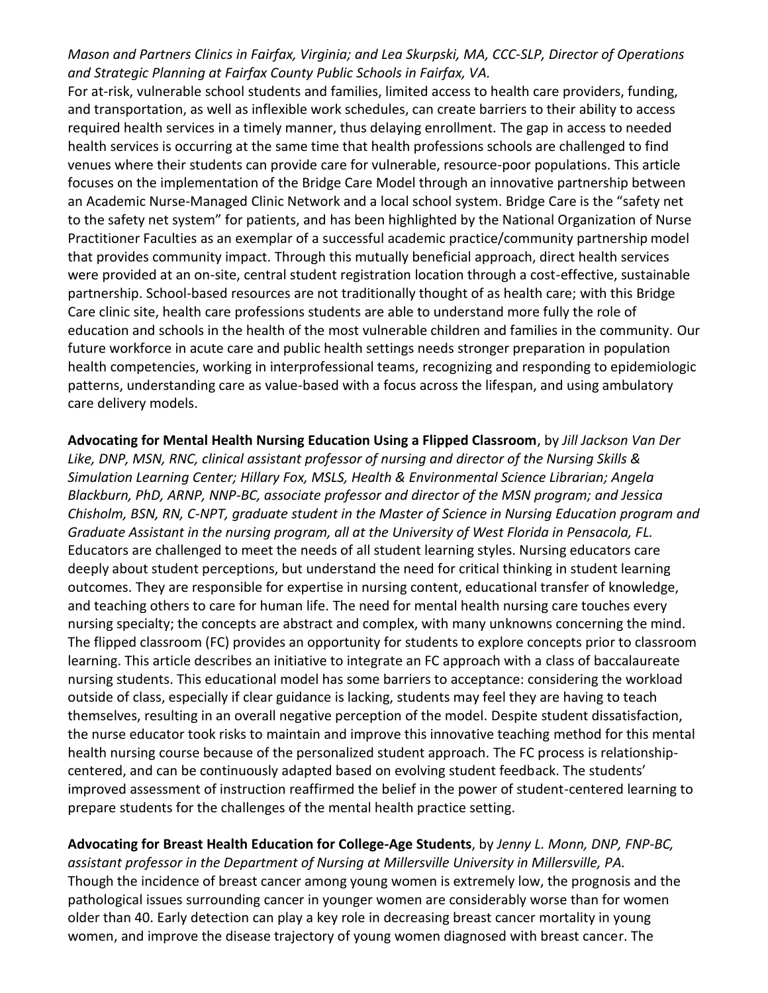# *Mason and Partners Clinics in Fairfax, Virginia; and Lea Skurpski, MA, CCC-SLP, Director of Operations and Strategic Planning at Fairfax County Public Schools in Fairfax, VA.*

For at-risk, vulnerable school students and families, limited access to health care providers, funding, and transportation, as well as inflexible work schedules, can create barriers to their ability to access required health services in a timely manner, thus delaying enrollment. The gap in access to needed health services is occurring at the same time that health professions schools are challenged to find venues where their students can provide care for vulnerable, resource-poor populations. This article focuses on the implementation of the Bridge Care Model through an innovative partnership between an Academic Nurse-Managed Clinic Network and a local school system. Bridge Care is the "safety net to the safety net system" for patients, and has been highlighted by the National Organization of Nurse Practitioner Faculties as an exemplar of a successful academic practice/community partnership model that provides community impact. Through this mutually beneficial approach, direct health services were provided at an on-site, central student registration location through a cost-effective, sustainable partnership. School-based resources are not traditionally thought of as health care; with this Bridge Care clinic site, health care professions students are able to understand more fully the role of education and schools in the health of the most vulnerable children and families in the community. Our future workforce in acute care and public health settings needs stronger preparation in population health competencies, working in interprofessional teams, recognizing and responding to epidemiologic patterns, understanding care as value-based with a focus across the lifespan, and using ambulatory care delivery models.

**Advocating for Mental Health Nursing Education Using a Flipped Classroom**, by *Jill Jackson Van Der Like, DNP, MSN, RNC, clinical assistant professor of nursing and director of the Nursing Skills & Simulation Learning Center; Hillary Fox, MSLS, Health & Environmental Science Librarian; Angela Blackburn, PhD, ARNP, NNP-BC, associate professor and director of the MSN program; and Jessica Chisholm, BSN, RN, C-NPT, graduate student in the Master of Science in Nursing Education program and Graduate Assistant in the nursing program, all at the University of West Florida in Pensacola, FL.* Educators are challenged to meet the needs of all student learning styles. Nursing educators care deeply about student perceptions, but understand the need for critical thinking in student learning outcomes. They are responsible for expertise in nursing content, educational transfer of knowledge, and teaching others to care for human life. The need for mental health nursing care touches every nursing specialty; the concepts are abstract and complex, with many unknowns concerning the mind. The flipped classroom (FC) provides an opportunity for students to explore concepts prior to classroom learning. This article describes an initiative to integrate an FC approach with a class of baccalaureate nursing students. This educational model has some barriers to acceptance: considering the workload outside of class, especially if clear guidance is lacking, students may feel they are having to teach themselves, resulting in an overall negative perception of the model. Despite student dissatisfaction, the nurse educator took risks to maintain and improve this innovative teaching method for this mental health nursing course because of the personalized student approach. The FC process is relationshipcentered, and can be continuously adapted based on evolving student feedback. The students' improved assessment of instruction reaffirmed the belief in the power of student-centered learning to prepare students for the challenges of the mental health practice setting.

**Advocating for Breast Health Education for College-Age Students**, by *Jenny L. Monn, DNP, FNP-BC, assistant professor in the Department of Nursing at Millersville University in Millersville, PA.* Though the incidence of breast cancer among young women is extremely low, the prognosis and the pathological issues surrounding cancer in younger women are considerably worse than for women older than 40. Early detection can play a key role in decreasing breast cancer mortality in young women, and improve the disease trajectory of young women diagnosed with breast cancer. The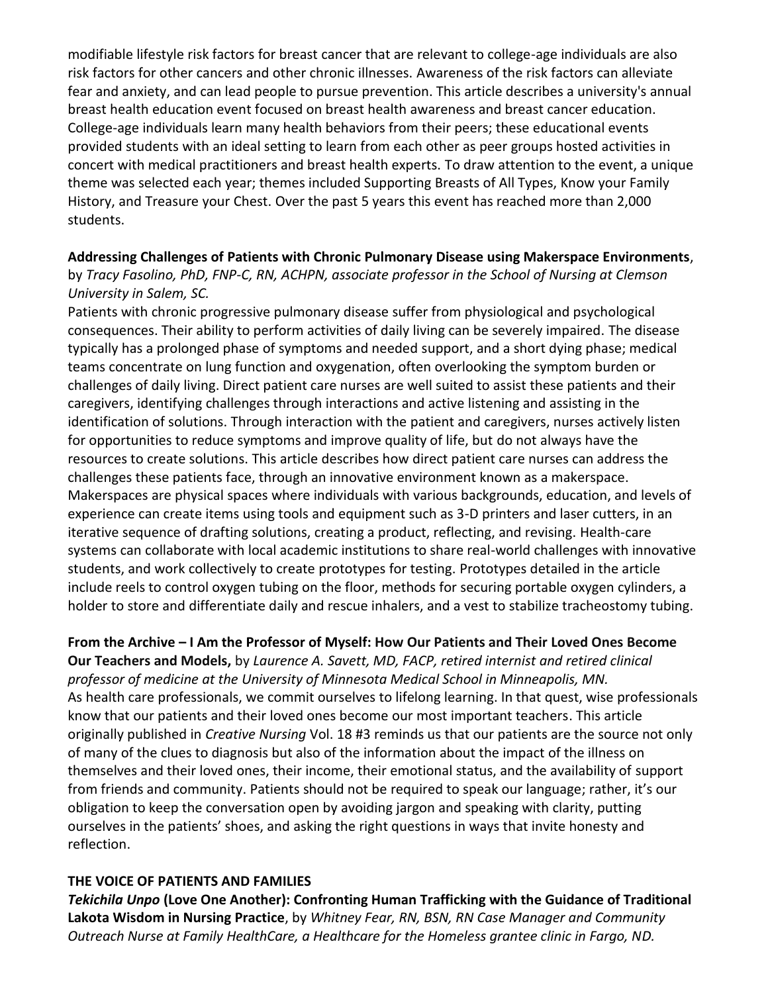modifiable lifestyle risk factors for breast cancer that are relevant to college-age individuals are also risk factors for other cancers and other chronic illnesses. Awareness of the risk factors can alleviate fear and anxiety, and can lead people to pursue prevention. This article describes a university's annual breast health education event focused on breast health awareness and breast cancer education. College-age individuals learn many health behaviors from their peers; these educational events provided students with an ideal setting to learn from each other as peer groups hosted activities in concert with medical practitioners and breast health experts. To draw attention to the event, a unique theme was selected each year; themes included Supporting Breasts of All Types, Know your Family History, and Treasure your Chest. Over the past 5 years this event has reached more than 2,000 students.

## **Addressing Challenges of Patients with Chronic Pulmonary Disease using Makerspace Environments**,

by *Tracy Fasolino, PhD, FNP-C, RN, ACHPN, associate professor in the School of Nursing at Clemson University in Salem, SC.*

Patients with chronic progressive pulmonary disease suffer from physiological and psychological consequences. Their ability to perform activities of daily living can be severely impaired. The disease typically has a prolonged phase of symptoms and needed support, and a short dying phase; medical teams concentrate on lung function and oxygenation, often overlooking the symptom burden or challenges of daily living. Direct patient care nurses are well suited to assist these patients and their caregivers, identifying challenges through interactions and active listening and assisting in the identification of solutions. Through interaction with the patient and caregivers, nurses actively listen for opportunities to reduce symptoms and improve quality of life, but do not always have the resources to create solutions. This article describes how direct patient care nurses can address the challenges these patients face, through an innovative environment known as a makerspace. Makerspaces are physical spaces where individuals with various backgrounds, education, and levels of experience can create items using tools and equipment such as 3-D printers and laser cutters, in an iterative sequence of drafting solutions, creating a product, reflecting, and revising. Health-care systems can collaborate with local academic institutions to share real-world challenges with innovative students, and work collectively to create prototypes for testing. Prototypes detailed in the article include reels to control oxygen tubing on the floor, methods for securing portable oxygen cylinders, a holder to store and differentiate daily and rescue inhalers, and a vest to stabilize tracheostomy tubing.

#### **From the Archive – I Am the Professor of Myself: How Our Patients and Their Loved Ones Become Our Teachers and Models,** by *Laurence A. Savett, MD, FACP, retired internist and retired clinical*

*professor of medicine at the University of Minnesota Medical School in Minneapolis, MN.* As health care professionals, we commit ourselves to lifelong learning. In that quest, wise professionals know that our patients and their loved ones become our most important teachers. This article originally published in *Creative Nursing* Vol. 18 #3 reminds us that our patients are the source not only of many of the clues to diagnosis but also of the information about the impact of the illness on themselves and their loved ones, their income, their emotional status, and the availability of support from friends and community. Patients should not be required to speak our language; rather, it's our obligation to keep the conversation open by avoiding jargon and speaking with clarity, putting ourselves in the patients' shoes, and asking the right questions in ways that invite honesty and reflection.

### **THE VOICE OF PATIENTS AND FAMILIES**

*Tekichila Unpo* **(Love One Another): Confronting Human Trafficking with the Guidance of Traditional Lakota Wisdom in Nursing Practice**, by *Whitney Fear, RN, BSN, RN Case Manager and Community Outreach Nurse at Family HealthCare, a Healthcare for the Homeless grantee clinic in Fargo, ND.*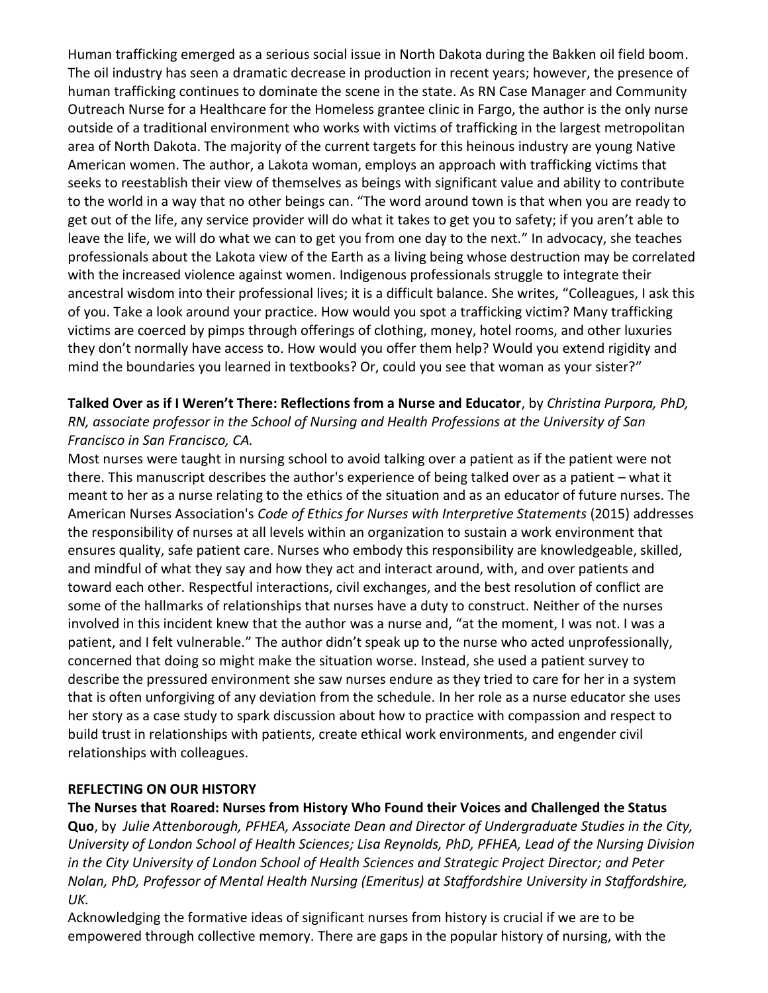Human trafficking emerged as a serious social issue in North Dakota during the Bakken oil field boom. The oil industry has seen a dramatic decrease in production in recent years; however, the presence of human trafficking continues to dominate the scene in the state. As RN Case Manager and Community Outreach Nurse for a Healthcare for the Homeless grantee clinic in Fargo, the author is the only nurse outside of a traditional environment who works with victims of trafficking in the largest metropolitan area of North Dakota. The majority of the current targets for this heinous industry are young Native American women. The author, a Lakota woman, employs an approach with trafficking victims that seeks to reestablish their view of themselves as beings with significant value and ability to contribute to the world in a way that no other beings can. "The word around town is that when you are ready to get out of the life, any service provider will do what it takes to get you to safety; if you aren't able to leave the life, we will do what we can to get you from one day to the next." In advocacy, she teaches professionals about the Lakota view of the Earth as a living being whose destruction may be correlated with the increased violence against women. Indigenous professionals struggle to integrate their ancestral wisdom into their professional lives; it is a difficult balance. She writes, "Colleagues, I ask this of you. Take a look around your practice. How would you spot a trafficking victim? Many trafficking victims are coerced by pimps through offerings of clothing, money, hotel rooms, and other luxuries they don't normally have access to. How would you offer them help? Would you extend rigidity and mind the boundaries you learned in textbooks? Or, could you see that woman as your sister?"

**Talked Over as if I Weren't There: Reflections from a Nurse and Educator**, by *Christina Purpora, PhD, RN, associate professor in the School of Nursing and Health Professions at the University of San Francisco in San Francisco, CA.*

Most nurses were taught in nursing school to avoid talking over a patient as if the patient were not there. This manuscript describes the author's experience of being talked over as a patient – what it meant to her as a nurse relating to the ethics of the situation and as an educator of future nurses. The American Nurses Association's *Code of Ethics for Nurses with Interpretive Statements* (2015) addresses the responsibility of nurses at all levels within an organization to sustain a work environment that ensures quality, safe patient care. Nurses who embody this responsibility are knowledgeable, skilled, and mindful of what they say and how they act and interact around, with, and over patients and toward each other. Respectful interactions, civil exchanges, and the best resolution of conflict are some of the hallmarks of relationships that nurses have a duty to construct. Neither of the nurses involved in this incident knew that the author was a nurse and, "at the moment, I was not. I was a patient, and I felt vulnerable." The author didn't speak up to the nurse who acted unprofessionally, concerned that doing so might make the situation worse. Instead, she used a patient survey to describe the pressured environment she saw nurses endure as they tried to care for her in a system that is often unforgiving of any deviation from the schedule. In her role as a nurse educator she uses her story as a case study to spark discussion about how to practice with compassion and respect to build trust in relationships with patients, create ethical work environments, and engender civil relationships with colleagues.

## **REFLECTING ON OUR HISTORY**

**The Nurses that Roared: Nurses from History Who Found their Voices and Challenged the Status Quo**, by *Julie Attenborough, PFHEA, Associate Dean and Director of Undergraduate Studies in the City, University of London School of Health Sciences; Lisa Reynolds, PhD, PFHEA, Lead of the Nursing Division in the City University of London School of Health Sciences and Strategic Project Director; and Peter Nolan, PhD, Professor of Mental Health Nursing (Emeritus) at Staffordshire University in Staffordshire, UK.*

Acknowledging the formative ideas of significant nurses from history is crucial if we are to be empowered through collective memory. There are gaps in the popular history of nursing, with the